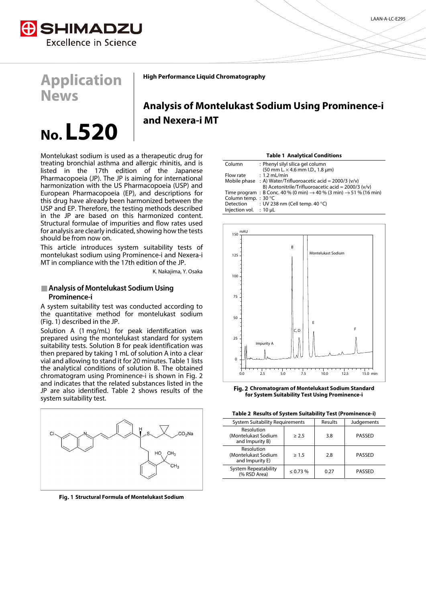

**Application** 

**News** 

**High Performance Liquid Chromatography**

# **Analysis of Montelukast Sodium Using Prominence-i and Nexera-i MT**

# **No. L520**

Montelukast sodium is used as a therapeutic drug for treating bronchial asthma and allergic rhinitis, and is listed in the 17th edition of the Japanese Pharmacopoeia (JP). The JP is aiming for international harmonization with the US Pharmacopoeia (USP) and European Pharmacopoeia (EP), and descriptions for this drug have already been harmonized between the USP and EP. Therefore, the testing methods described in the JP are based on this harmonized content. Structural formulae of impurities and flow rates used for analysis are clearly indicated, showing how the tests should be from now on.

This article introduces system suitability tests of montelukast sodium using Prominence-i and Nexera-i MT in compliance with the 17th edition of the JP.

K. Nakajima, Y. Osaka

# **Analysis of Montelukast Sodium Using Prominence-i**

A system suitability test was conducted according to the quantitative method for montelukast sodium (Fig. 1) described in the JP.

Solution A (1 mg/mL) for peak identification was prepared using the montelukast standard for system suitability tests. Solution B for peak identification was then prepared by taking 1 mL of solution A into a clear vial and allowing to stand it for 20 minutes. Table 1 lists the analytical conditions of solution B. The obtained chromatogram using Prominence-i is shown in Fig. 2 and indicates that the related substances listed in the JP are also identified. Table 2 shows results of the system suitability test.



**Structural Formula of Montelukast Sodium** 

| <b>Table 1 Analytical Conditions</b> |                                                                                            |  |  |
|--------------------------------------|--------------------------------------------------------------------------------------------|--|--|
| Column                               | : Phenyl silyl silica gel column                                                           |  |  |
|                                      | $(50 \text{ mm L} \times 4.6 \text{ mm L} \cdot D., 1.8 \text{ µm})$                       |  |  |
| Flow rate                            | $: 1.2$ mL/min                                                                             |  |  |
|                                      | Mobile phase : A) Water/Trifluoroacetic acid = $2000/3$ (v/v)                              |  |  |
|                                      | B) Acetonitrile/Trifluoroacetic acid = $2000/3$ (v/v)                                      |  |  |
|                                      | Time program : B Conc. 40 % (0 min) $\rightarrow$ 40 % (3 min) $\rightarrow$ 51 % (16 min) |  |  |
| Column temp.: 30 °C                  |                                                                                            |  |  |
| Detection                            | : UV 238 nm (Cell temp. 40 $^{\circ}$ C)                                                   |  |  |
| Injection vol. $: 10 \mu L$          |                                                                                            |  |  |
|                                      |                                                                                            |  |  |



**Chromatogram of Montelukast Sodium Standard for System Suitability Test Using Prominence-i** 

|  |  | Table 2 Results of System Suitability Test (Prominence-i) |
|--|--|-----------------------------------------------------------|
|--|--|-----------------------------------------------------------|

| <b>System Suitability Requirements</b>               |               | Results | Judgements |  |
|------------------------------------------------------|---------------|---------|------------|--|
| Resolution<br>(Montelukast Sodium<br>and Impurity B) | > 2.5         | 3.8     | PASSED     |  |
| Resolution<br>(Montelukast Sodium<br>and Impurity E) | >1.5          | 2.8     | PASSED     |  |
| <b>System Repeatability</b><br>(% RSD Area)          | $\leq 0.73\%$ | 0.27    | PASSED     |  |